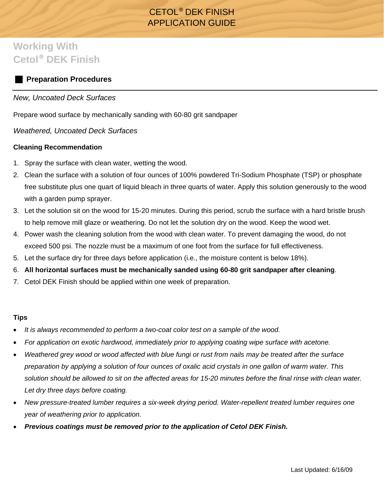# CETOL® DEK FINISH APPLICATION GUIDE

# **Working With Cetol**® **DEK Finish**

# **Preparation Procedures**

# *New, Uncoated Deck Surfaces*

Prepare wood surface by mechanically sanding with 60-80 grit sandpaper

*Weathered, Uncoated Deck Surfaces* 

#### **Cleaning Recommendation**

- 1. Spray the surface with clean water, wetting the wood.
- 2. Clean the surface with a solution of four ounces of 100% powdered Tri-Sodium Phosphate (TSP) or phosphate free substitute plus one quart of liquid bleach in three quarts of water. Apply this solution generously to the wood with a garden pump sprayer.
- 3. Let the solution sit on the wood for 15-20 minutes. During this period, scrub the surface with a hard bristle brush to help remove mill glaze or weathering. Do not let the solution dry on the wood. Keep the wood wet.
- 4. Power wash the cleaning solution from the wood with clean water. To prevent damaging the wood, do not exceed 500 psi. The nozzle must be a maximum of one foot from the surface for full effectiveness.
- 5. Let the surface dry for three days before application (i.e., the moisture content is below 18%).
- 6. **All horizontal surfaces must be mechanically sanded using 60-80 grit sandpaper after cleaning**.
- 7. Cetol DEK Finish should be applied within one week of preparation.

#### **Tips**

- *It is always recommended to perform a two-coat color test on a sample of the wood.*
- *For application on exotic hardwood, immediately prior to applying coating wipe surface with acetone.*
- *Weathered grey wood or wood affected with blue fungi or rust from nails may be treated after the surface preparation by applying a solution of four ounces of oxalic acid crystals in one gallon of warm water. This solution should be allowed to sit on the affected areas for 15-20 minutes before the final rinse with clean water. Let dry three days before coating.*
- *New pressure-treated lumber requires a six-week drying period. Water-repellent treated lumber requires one year of weathering prior to application.*
- *Previous coatings must be removed prior to the application of Cetol DEK Finish.*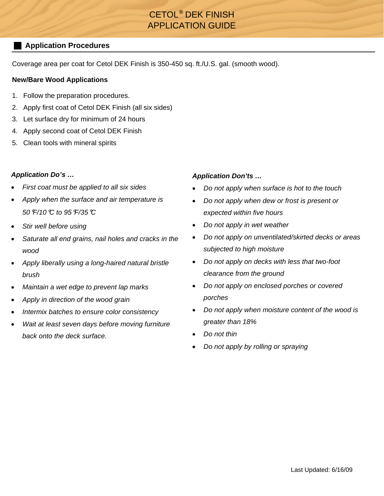# CETOL® DEK FINISH APPLICATION GUIDE

# **Application Procedures**

Coverage area per coat for Cetol DEK Finish is 350-450 sq. ft./U.S. gal. (smooth wood).

## **New/Bare Wood Applications**

- 1. Follow the preparation procedures.
- 2. Apply first coat of Cetol DEK Finish (all six sides)
- 3. Let surface dry for minimum of 24 hours
- 4. Apply second coat of Cetol DEK Finish
- 5. Clean tools with mineral spirits

## *Application Do's …*

- *First coat must be applied to all six sides*
- *Apply when the surface and air temperature is 50*°*F/10*°*C to 95*°*F/35*°*C*
- *Stir well before using*
- *Saturate all end grains, nail holes and cracks in the wood*
- *Apply liberally using a long-haired natural bristle brush*
- *Maintain a wet edge to prevent lap marks*
- *Apply in direction of the wood grain*
- *Intermix batches to ensure color consistency*
- *Wait at least seven days before moving furniture back onto the deck surface.*

## *Application Don'ts …*

- *Do not apply when surface is hot to the touch*
- *Do not apply when dew or frost is present or expected within five hours*
- *Do not apply in wet weather*
- *Do not apply on unventilated/skirted decks or areas subjected to high moisture*
- *Do not apply on decks with less that two-foot clearance from the ground*
- *Do not apply on enclosed porches or covered porches*
- *Do not apply when moisture content of the wood is greater than 18%*
- *Do not thin*
- *Do not apply by rolling or spraying*